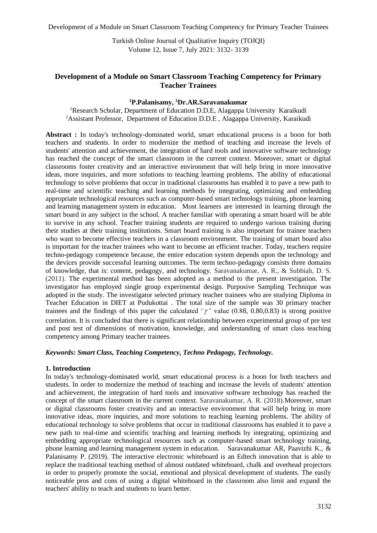Development of a Module on Smart Classroom Teaching Competency for Primary Teacher Trainees

Turkish Online Journal of Qualitative Inquiry (TOJQI) Volume 12, Issue 7, July 2021: 3132- 3139

# **Development of a Module on Smart Classroom Teaching Competency for Primary Teacher Trainees**

### **<sup>1</sup>P.Palanisamy, <sup>2</sup>Dr.AR.Saravanakumar**

<sup>1</sup>Research Scholar, Department of Education D.D.E, Alagappa University Karaikudi <sup>2</sup>Assistant Professor, Department of Education D.D.E, Alagappa University, Karaikudi

**Abstract :** In today's technology-dominated world, smart educational process is a boon for both teachers and students. In order to modernize the method of teaching and increase the levels of students' attention and achievement, the integration of hard tools and innovative software technology has reached the concept of the smart classroom in the current context. Moreover, smart or digital classrooms foster creativity and an interactive environment that will help bring in more innovative ideas, more inquiries, and more solutions to teaching learning problems. The ability of educational technology to solve problems that occur in traditional classrooms has enabled it to pave a new path to real-time and scientific teaching and learning methods by integrating, optimizing and embedding appropriate technological resources such as computer-based smart technology training, phone learning and learning management system in education. Most learners are interested in learning through the smart board in any subject in the school. A teacher familiar with operating a smart board will be able to survive in any school. Teacher training students are required to undergo various training during their studies at their training institutions. Smart board training is also important for trainee teachers who want to become effective teachers in a classroom environment. The training of smart board also is important for the teacher trainees who want to become an efficient teacher. Today, teachers require techno-pedagogy competence because, the entire education system depends upon the technology and the devices provide successful learning outcomes. The term techno-pedagogy consists three domains of knowledge, that is: content, pedagogy, and technology. Saravanakumar, A. R., & Subbiah, D. S. (2011). The experimental method has been adopted as a method to the present investigation. The investigator has employed single group experimental design. Purposive Sampling Technique was adopted in the study. The investigator selected primary teacher trainees who are studying Diploma in Teacher Education in DIET at Pudukottai . The total size of the sample was 30 primary teacher trainees and the findings of this paper the calculated ' $\gamma$ ' value (0.88, 0.80,0.83) is strong positive correlation. It is concluded that there is significant relationship between experimental group of pre test and post test of dimensions of motivation, knowledge, and understanding of smart class teaching competency among Primary teacher trainees.

## *Keywords: Smart Class, Teaching Competency, Techno Pedagogy, Technology.*

### **1. Introduction**

In today's technology-dominated world, smart educational process is a boon for both teachers and students. In order to modernize the method of teaching and increase the levels of students' attention and achievement, the integration of hard tools and innovative software technology has reached the concept of the smart classroom in the current context. Saravanakumar, A. R. (2018).Moreover, smart or digital classrooms foster creativity and an interactive environment that will help bring in more innovative ideas, more inquiries, and more solutions to teaching learning problems. The ability of educational technology to solve problems that occur in traditional classrooms has enabled it to pave a new path to real-time and scientific teaching and learning methods by integrating, optimizing and embedding appropriate technological resources such as computer-based smart technology training, phone learning and learning management system in education. Saravanakumar AR, Paavizhi K., & Palanisamy P. (2019). The interactive electronic whiteboard is an Edtech innovation that is able to replace the traditional teaching method of almost outdated whiteboard, chalk and overhead projectors in order to properly promote the social, emotional and physical development of students. The easily noticeable pros and cons of using a digital whiteboard in the classroom also limit and expand the teachers' ability to teach and students to learn better.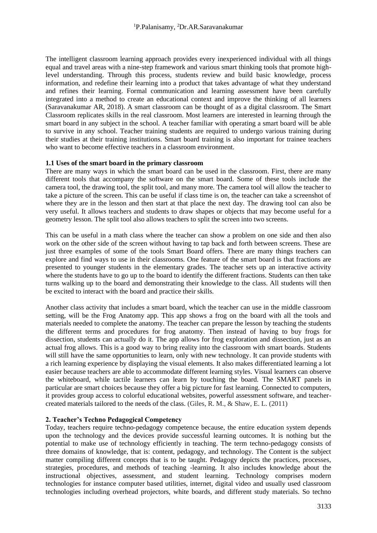The intelligent classroom learning approach provides every inexperienced individual with all things equal and travel areas with a nine-step framework and various smart thinking tools that promote highlevel understanding. Through this process, students review and build basic knowledge, process information, and redefine their learning into a product that takes advantage of what they understand and refines their learning. Formal communication and learning assessment have been carefully integrated into a method to create an educational context and improve the thinking of all learners (Saravanakumar AR, 2018). A smart classroom can be thought of as a digital classroom. The Smart Classroom replicates skills in the real classroom. Most learners are interested in learning through the smart board in any subject in the school. A teacher familiar with operating a smart board will be able to survive in any school. Teacher training students are required to undergo various training during their studies at their training institutions. Smart board training is also important for trainee teachers who want to become effective teachers in a classroom environment.

## **1.1 Uses of the smart board in the primary classroom**

There are many ways in which the smart board can be used in the classroom. First, there are many different tools that accompany the software on the smart board. Some of these tools include the camera tool, the drawing tool, the split tool, and many more. The camera tool will allow the teacher to take a picture of the screen. This can be useful if class time is on, the teacher can take a screenshot of where they are in the lesson and then start at that place the next day. The drawing tool can also be very useful. It allows teachers and students to draw shapes or objects that may become useful for a geometry lesson. The split tool also allows teachers to split the screen into two screens.

This can be useful in a math class where the teacher can show a problem on one side and then also work on the other side of the screen without having to tap back and forth between screens. These are just three examples of some of the tools Smart Board offers. There are many things teachers can explore and find ways to use in their classrooms. One feature of the smart board is that fractions are presented to younger students in the elementary grades. The teacher sets up an interactive activity where the students have to go up to the board to identify the different fractions. Students can then take turns walking up to the board and demonstrating their knowledge to the class. All students will then be excited to interact with the board and practice their skills.

Another class activity that includes a smart board, which the teacher can use in the middle classroom setting, will be the Frog Anatomy app. This app shows a frog on the board with all the tools and materials needed to complete the anatomy. The teacher can prepare the lesson by teaching the students the different terms and procedures for frog anatomy. Then instead of having to buy frogs for dissection, students can actually do it. The app allows for frog exploration and dissection, just as an actual frog allows. This is a good way to bring reality into the classroom with smart boards. Students will still have the same opportunities to learn, only with new technology. It can provide students with a rich learning experience by displaying the visual elements. It also makes differentiated learning a lot easier because teachers are able to accommodate different learning styles. Visual learners can observe the whiteboard, while tactile learners can learn by touching the board. The SMART panels in particular are smart choices because they offer a big picture for fast learning. Connected to computers, it provides group access to colorful educational websites, powerful assessment software, and teachercreated materials tailored to the needs of the class. (Giles, R. M., & Shaw, E. L. (2011)

### **2. Teacher's Techno Pedagogical Competency**

Today, teachers require techno-pedagogy competence because, the entire education system depends upon the technology and the devices provide successful learning outcomes. It is nothing but the potential to make use of technology efficiently in teaching. The term techno-pedagogy consists of three domains of knowledge, that is: content, pedagogy, and technology. The Content is the subject matter compiling different concepts that is to be taught. Pedagogy depicts the practices, processes, strategies, procedures, and methods of teaching -learning. It also includes knowledge about the instructional objectives, assessment, and student learning. Technology comprises modern technologies for instance computer based utilities, internet, digital video and usually used classroom technologies including overhead projectors, white boards, and different study materials. So techno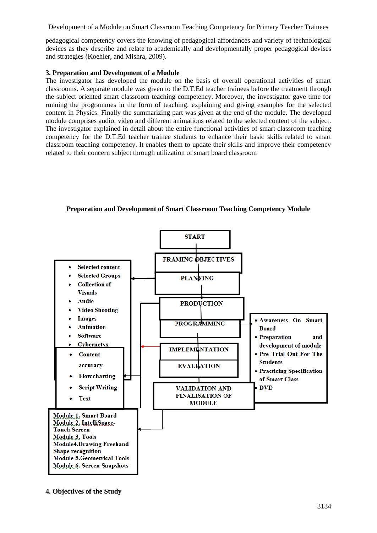Development of a Module on Smart Classroom Teaching Competency for Primary Teacher Trainees

pedagogical competency covers the knowing of pedagogical affordances and variety of technological devices as they describe and relate to academically and developmentally proper pedagogical devises and strategies (Koehler, and Mishra, 2009).

# **3. Preparation and Development of a Module**

The investigator has developed the module on the basis of overall operational activities of smart classrooms. A separate module was given to the D.T.Ed teacher trainees before the treatment through the subject oriented smart classroom teaching competency. Moreover, the investigator gave time for running the programmes in the form of teaching, explaining and giving examples for the selected content in Physics. Finally the summarizing part was given at the end of the module. The developed module comprises audio, video and different animations related to the selected content of the subject. The investigator explained in detail about the entire functional activities of smart classroom teaching competency for the D.T.Ed teacher trainee students to enhance their basic skills related to smart classroom teaching competency. It enables them to update their skills and improve their competency related to their concern subject through utilization of smart board classroom



**Preparation and Development of Smart Classroom Teaching Competency Module**

**4. Objectives of the Study**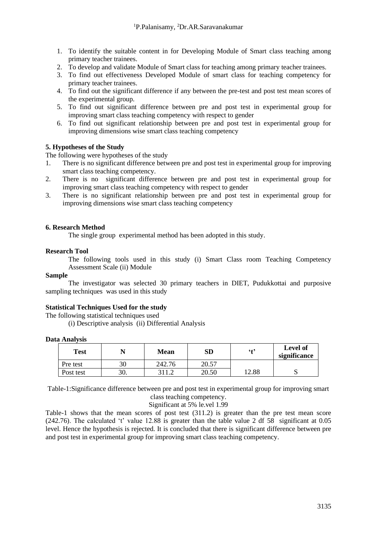- 1. To identify the suitable content in for Developing Module of Smart class teaching among primary teacher trainees.
- 2. To develop and validate Module of Smart class for teaching among primary teacher trainees.
- 3. To find out effectiveness Developed Module of smart class for teaching competency for primary teacher trainees.
- 4. To find out the significant difference if any between the pre-test and post test mean scores of the experimental group.
- 5. To find out significant difference between pre and post test in experimental group for improving smart class teaching competency with respect to gender
- 6. To find out significant relationship between pre and post test in experimental group for improving dimensions wise smart class teaching competency

# **5. Hypotheses of the Study**

The following were hypotheses of the study

- 1. There is no significant difference between pre and post test in experimental group for improving smart class teaching competency.
- 2. There is no significant difference between pre and post test in experimental group for improving smart class teaching competency with respect to gender
- 3. There is no significant relationship between pre and post test in experimental group for improving dimensions wise smart class teaching competency

## **6. Research Method**

The single group experimental method has been adopted in this study.

### **Research Tool**

The following tools used in this study (i) Smart Class room Teaching Competency Assessment Scale (ii) Module

### **Sample**

The investigator was selected 30 primary teachers in DIET, Pudukkottai and purposive sampling techniques was used in this study

### **Statistical Techniques Used for the study**

The following statistical techniques used

(i) Descriptive analysis (ii) Differential Analysis

### **Data Analysis**

| Test      |     | <b>Mean</b> | SD    | $6 + 9$ | <b>Level of</b><br>significance |
|-----------|-----|-------------|-------|---------|---------------------------------|
| Pre test  | 30  | 242.76      | 20.57 |         |                                 |
| Post test | 30. |             | 20.50 | 12.88   | ັ                               |

Table-1:Significance difference between pre and post test in experimental group for improving smart class teaching competency.

Significant at 5% le.vel 1.99

Table-1 shows that the mean scores of post test (311.2) is greater than the pre test mean score (242.76). The calculated 't' value 12.88 is greater than the table value 2 df 58 significant at 0.05 level. Hence the hypothesis is rejected. It is concluded that there is significant difference between pre and post test in experimental group for improving smart class teaching competency.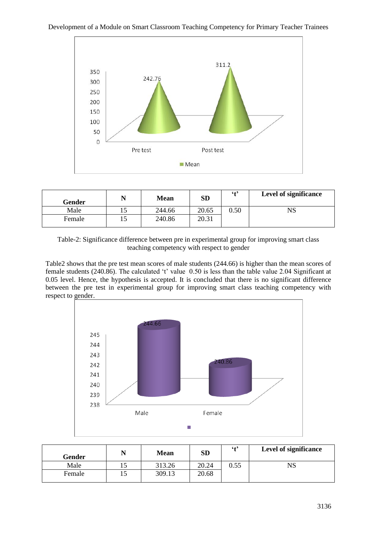



| Gender |    | <b>Mean</b> | <b>SD</b> | $6 + 9$ | <b>Level of significance</b> |
|--------|----|-------------|-----------|---------|------------------------------|
| Male   | ⊥J | 244.66      | 20.65     | 0.50    | NS                           |
| Female |    | 240.86      | 20.31     |         |                              |



Table2 shows that the pre test mean scores of male students (244.66) is higher than the mean scores of female students (240.86). The calculated 't' value 0.50 is less than the table value 2.04 Significant at 0.05 level. Hence, the hypothesis is accepted. It is concluded that there is no significant difference between the pre test in experimental group for improving smart class teaching competency with respect to gender.



| Gender |    | <b>Mean</b> | <b>SD</b> | $6 + 9$ | Level of significance |
|--------|----|-------------|-----------|---------|-----------------------|
| Male   | ⊥J | 313.26      | 20.24     | 0.55    | $_{\rm NS}$           |
| Female | IJ | 309.13      | 20.68     |         |                       |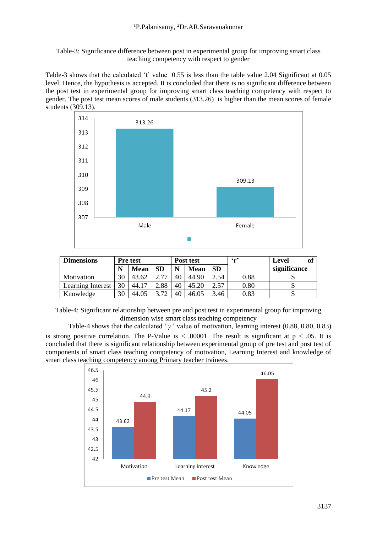Table-3: Significance difference between post in experimental group for improving smart class teaching competency with respect to gender

Table-3 shows that the calculated 't' value 0.55 is less than the table value 2.04 Significant at 0.05 level. Hence, the hypothesis is accepted. It is concluded that there is no significant difference between the post test in experimental group for improving smart class teaching competency with respect to gender. The post test mean scores of male students (313.26) is higher than the mean scores of female students (309.13).



| <b>Dimensions</b>        | <b>Pre</b> test |             |                    | Post test |             |           | 6 <sub>m</sub> | of<br>Level  |
|--------------------------|-----------------|-------------|--------------------|-----------|-------------|-----------|----------------|--------------|
|                          |                 | <b>Mean</b> | <b>SD</b>          | N         | <b>Mean</b> | <b>SD</b> |                | significance |
| Motivation               | 30              | 43.62       | 77                 | 40        | 44.90       | 2.54      | 0.88           |              |
| <b>Learning Interest</b> | 30              | 44.17       | ۔88                | 40        | 45.20       | 2.57      | 0.80           |              |
| Knowledge                | 30              | 44.05       | 72<br>$\mathbf{R}$ | 40        | 46.05       | 3.46      | 0.83           |              |

Table-4: Significant relationship between pre and post test in experimental group for improving dimension wise smart class teaching competency

Table-4 shows that the calculated ' $\gamma$ ' value of motivation, learning interest (0.88, 0.80, 0.83) is strong positive correlation. The P-Value is  $\lt$  0.00001. The result is significant at  $p \lt 0.05$ . It is concluded that there is significant relationship between experimental group of pre test and post test of components of smart class teaching competency of motivation, Learning Interest and knowledge of smart class teaching competency among Primary teacher trainees.

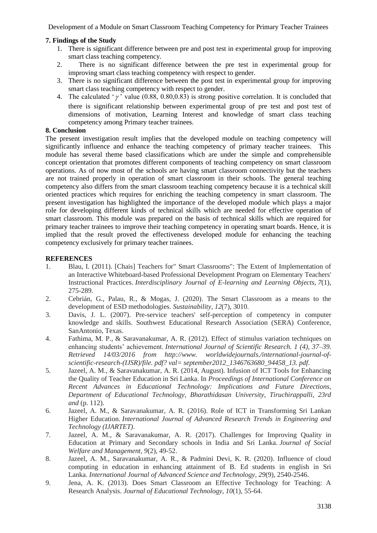Development of a Module on Smart Classroom Teaching Competency for Primary Teacher Trainees

## **7. Findings of the Study**

- 1. There is significant difference between pre and post test in experimental group for improving smart class teaching competency.
- 2. There is no significant difference between the pre test in experimental group for improving smart class teaching competency with respect to gender.
- 3. There is no significant difference between the post test in experimental group for improving smart class teaching competency with respect to gender.
- 4. The calculated ' $\gamma$ ' value (0.88, 0.80,0.83) is strong positive correlation. It is concluded that there is significant relationship between experimental group of pre test and post test of dimensions of motivation, Learning Interest and knowledge of smart class teaching competency among Primary teacher trainees.

### **8. Conclusion**

The present investigation result implies that the developed module on teaching competency will significantly influence and enhance the teaching competency of primary teacher trainees. This module has several theme based classifications which are under the simple and comprehensible concept orientation that promotes different components of teaching competency on smart classroom operations. As of now most of the schools are having smart classroom connectivity but the teachers are not trained properly in operation of smart classroom in their schools. The general teaching competency also differs from the smart classroom teaching competency because it is a technical skill oriented practices which requires for enriching the teaching competency in smart classroom. The present investigation has highlighted the importance of the developed module which plays a major role for developing different kinds of technical skills which are needed for effective operation of smart classroom. This module was prepared on the basis of technical skills which are required for primary teacher trainees to improve their teaching competency in operating smart boards. Hence, it is implied that the result proved the effectiveness developed module for enhancing the teaching competency exclusively for primary teacher trainees.

## **REFERENCES**

- 1. Blau, I. (2011). [Chais] Teachers for" Smart Classrooms": The Extent of Implementation of an Interactive Whiteboard-based Professional Development Program on Elementary Teachers' Instructional Practices. *Interdisciplinary Journal of E-learning and Learning Objects*, *7*(1), 275-289.
- 2. Cebrián, G., Palau, R., & Mogas, J. (2020). The Smart Classroom as a means to the development of ESD methodologies. *Sustainability*, *12*(7), 3010.
- 3. Davis, J. L. (2007). Pre-service teachers' self-perception of competency in computer knowledge and skills. Southwest Educational Research Association (SERA) Conference, SanAntonio, Texas.
- 4. Fathima, M. P., & Saravanakumar, A. R. (2012). Effect of stimulus variation techniques on enhancing students' achievement. *International Journal of Scientific Research. 1 (4), 37–39. Retrieved 14/03/2016 from http://www. worldwidejournals./international-journal-ofscientific-research-(IJSR)/file. pdf? val= september2012\_1346763680\_94458\_13. pdf*.
- 5. Jazeel, A. M., & Saravanakumar, A. R. (2014, August). Infusion of ICT Tools for Enhancing the Quality of Teacher Education in Sri Lanka. In *Proceedings of International Conference on Recent Advances in Educational Technology: Implications and Future Directions, Department of Educational Technology, Bharathidasan University, Tiruchirappalli, 23rd and* (p. 112).
- 6. Jazeel, A. M., & Saravanakumar, A. R. (2016). Role of ICT in Transforming Sri Lankan Higher Education. *International Journal of Advanced Research Trends in Engineering and Technology (IJARTET)*.
- 7. Jazeel, A. M., & Saravanakumar, A. R. (2017). Challenges for Improving Quality in Education at Primary and Secondary schools in India and Sri Lanka. *Journal of Social Welfare and Management*, *9*(2), 49-52.
- 8. Jazeel, A. M., Saravanakumar, A. R., & Padmini Devi, K. R. (2020). Influence of cloud computing in education in enhancing attainment of B. Ed students in english in Sri Lanka. *International Journal of Advanced Science and Technology*, *29*(9), 2540-2546.
- 9. Jena, A. K. (2013). Does Smart Classroom an Effective Technology for Teaching: A Research Analysis. *Journal of Educational Technology*, *10*(1), 55-64.